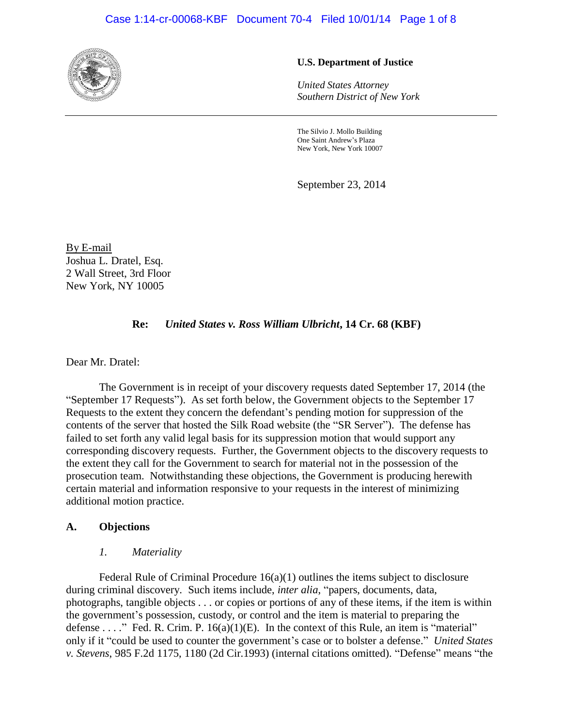#### Case 1:14-cr-00068-KBF Document 70-4 Filed 10/01/14 Page 1 of 8



#### **U.S. Department of Justice**

*United States Attorney Southern District of New York*

The Silvio J. Mollo Building One Saint Andrew's Plaza New York, New York 10007

September 23, 2014

By E-mail Joshua L. Dratel, Esq. 2 Wall Street, 3rd Floor New York, NY 10005

#### **Re:** *United States v. Ross William Ulbricht***, 14 Cr. 68 (KBF)**

Dear Mr. Dratel:

The Government is in receipt of your discovery requests dated September 17, 2014 (the "September 17 Requests"). As set forth below, the Government objects to the September 17 Requests to the extent they concern the defendant's pending motion for suppression of the contents of the server that hosted the Silk Road website (the "SR Server"). The defense has failed to set forth any valid legal basis for its suppression motion that would support any corresponding discovery requests. Further, the Government objects to the discovery requests to the extent they call for the Government to search for material not in the possession of the prosecution team. Notwithstanding these objections, the Government is producing herewith certain material and information responsive to your requests in the interest of minimizing additional motion practice.

#### **A. Objections**

#### *1. Materiality*

Federal Rule of Criminal Procedure 16(a)(1) outlines the items subject to disclosure during criminal discovery. Such items include, *inter alia*, "papers, documents, data, photographs, tangible objects . . . or copies or portions of any of these items, if the item is within the government's possession, custody, or control and the item is material to preparing the defense . . . ." Fed. R. Crim. P.  $16(a)(1)(E)$ . In the context of this Rule, an item is "material" only if it "could be used to counter the government's case or to bolster a defense." *United States v. Stevens*, 985 F.2d 1175, 1180 (2d Cir.1993) (internal citations omitted). "Defense" means "the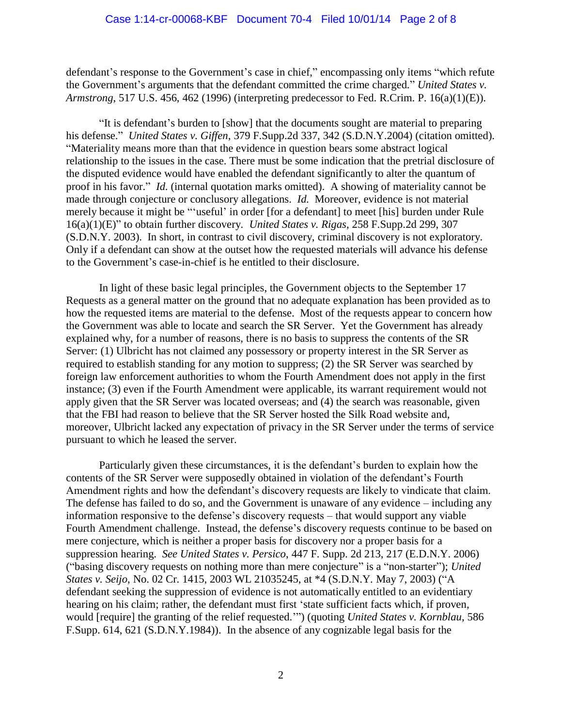defendant's response to the Government's case in chief," encompassing only items "which refute the Government's arguments that the defendant committed the crime charged." *United States v. Armstrong*, 517 U.S. 456, 462 (1996) (interpreting predecessor to Fed. R.Crim. P. 16(a)(1)(E)).

"It is defendant's burden to [show] that the documents sought are material to preparing his defense." *United States v. Giffen*, 379 F.Supp.2d 337, 342 (S.D.N.Y.2004) (citation omitted). "Materiality means more than that the evidence in question bears some abstract logical relationship to the issues in the case. There must be some indication that the pretrial disclosure of the disputed evidence would have enabled the defendant significantly to alter the quantum of proof in his favor." *Id*. (internal quotation marks omitted). A showing of materiality cannot be made through conjecture or conclusory allegations. *Id.* Moreover, evidence is not material merely because it might be "'useful' in order [for a defendant] to meet [his] burden under Rule 16(a)(1)(E)" to obtain further discovery. *United States v. Rigas*, 258 F.Supp.2d 299, 307 (S.D.N.Y. 2003). In short, in contrast to civil discovery, criminal discovery is not exploratory. Only if a defendant can show at the outset how the requested materials will advance his defense to the Government's case-in-chief is he entitled to their disclosure.

In light of these basic legal principles, the Government objects to the September 17 Requests as a general matter on the ground that no adequate explanation has been provided as to how the requested items are material to the defense. Most of the requests appear to concern how the Government was able to locate and search the SR Server. Yet the Government has already explained why, for a number of reasons, there is no basis to suppress the contents of the SR Server: (1) Ulbricht has not claimed any possessory or property interest in the SR Server as required to establish standing for any motion to suppress; (2) the SR Server was searched by foreign law enforcement authorities to whom the Fourth Amendment does not apply in the first instance; (3) even if the Fourth Amendment were applicable, its warrant requirement would not apply given that the SR Server was located overseas; and (4) the search was reasonable, given that the FBI had reason to believe that the SR Server hosted the Silk Road website and, moreover, Ulbricht lacked any expectation of privacy in the SR Server under the terms of service pursuant to which he leased the server.

Particularly given these circumstances, it is the defendant's burden to explain how the contents of the SR Server were supposedly obtained in violation of the defendant's Fourth Amendment rights and how the defendant's discovery requests are likely to vindicate that claim. The defense has failed to do so, and the Government is unaware of any evidence – including any information responsive to the defense's discovery requests – that would support any viable Fourth Amendment challenge. Instead, the defense's discovery requests continue to be based on mere conjecture, which is neither a proper basis for discovery nor a proper basis for a suppression hearing. *See United States v. Persico*, 447 F. Supp. 2d 213, 217 (E.D.N.Y. 2006) ("basing discovery requests on nothing more than mere conjecture" is a "non-starter"); *United States v. Seijo*, No. 02 Cr. 1415, 2003 WL 21035245, at \*4 (S.D.N.Y. May 7, 2003) ("A defendant seeking the suppression of evidence is not automatically entitled to an evidentiary hearing on his claim; rather, the defendant must first 'state sufficient facts which, if proven, would [require] the granting of the relief requested.'") (quoting *United States v. Kornblau*, 586 F.Supp. 614, 621 (S.D.N.Y.1984)). In the absence of any cognizable legal basis for the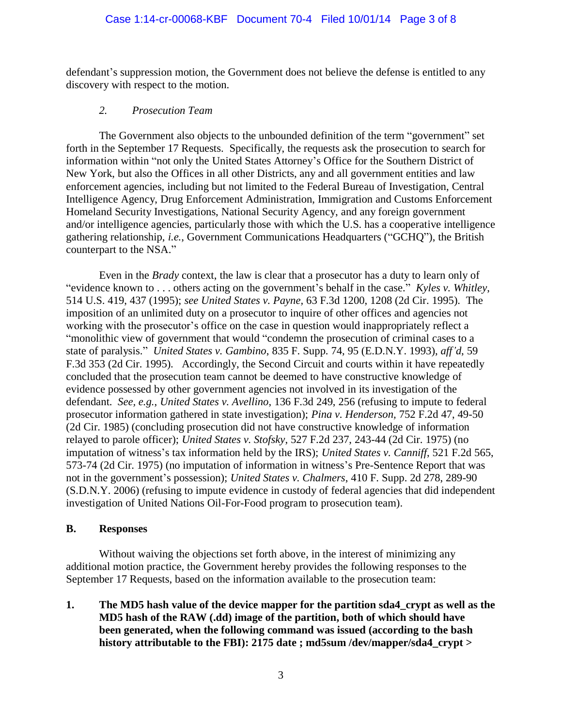defendant's suppression motion, the Government does not believe the defense is entitled to any discovery with respect to the motion.

### *2. Prosecution Team*

The Government also objects to the unbounded definition of the term "government" set forth in the September 17 Requests. Specifically, the requests ask the prosecution to search for information within "not only the United States Attorney's Office for the Southern District of New York, but also the Offices in all other Districts, any and all government entities and law enforcement agencies, including but not limited to the Federal Bureau of Investigation, Central Intelligence Agency, Drug Enforcement Administration, Immigration and Customs Enforcement Homeland Security Investigations, National Security Agency, and any foreign government and/or intelligence agencies, particularly those with which the U.S. has a cooperative intelligence gathering relationship, *i.e.*, Government Communications Headquarters ("GCHQ"), the British counterpart to the NSA."

Even in the *Brady* context, the law is clear that a prosecutor has a duty to learn only of "evidence known to . . . others acting on the government's behalf in the case." *Kyles v. Whitley*, 514 U.S. 419, 437 (1995); *see United States v. Payne,* 63 F.3d 1200, 1208 (2d Cir. 1995). The imposition of an unlimited duty on a prosecutor to inquire of other offices and agencies not working with the prosecutor's office on the case in question would inappropriately reflect a "monolithic view of government that would "condemn the prosecution of criminal cases to a state of paralysis." *United States v. Gambino*, 835 F. Supp. 74, 95 (E.D.N.Y. 1993), *aff'd*, 59 F.3d 353 (2d Cir. 1995). Accordingly, the Second Circuit and courts within it have repeatedly concluded that the prosecution team cannot be deemed to have constructive knowledge of evidence possessed by other government agencies not involved in its investigation of the defendant. *See, e.g.*, *United States v. Avellino*, 136 F.3d 249, 256 (refusing to impute to federal prosecutor information gathered in state investigation); *Pina v. Henderson,* 752 F.2d 47, 49-50 (2d Cir. 1985) (concluding prosecution did not have constructive knowledge of information relayed to parole officer); *United States v. Stofsky*, 527 F.2d 237, 243-44 (2d Cir. 1975) (no imputation of witness's tax information held by the IRS); *United States v. Canniff*, 521 F.2d 565, 573-74 (2d Cir. 1975) (no imputation of information in witness's Pre-Sentence Report that was not in the government's possession); *United States v. Chalmers*, 410 F. Supp. 2d 278, 289-90 (S.D.N.Y. 2006) (refusing to impute evidence in custody of federal agencies that did independent investigation of United Nations Oil-For-Food program to prosecution team).

## **B. Responses**

Without waiving the objections set forth above, in the interest of minimizing any additional motion practice, the Government hereby provides the following responses to the September 17 Requests, based on the information available to the prosecution team:

**1. The MD5 hash value of the device mapper for the partition sda4\_crypt as well as the MD5 hash of the RAW (.dd) image of the partition, both of which should have been generated, when the following command was issued (according to the bash history attributable to the FBI): 2175 date ; md5sum /dev/mapper/sda4\_crypt >**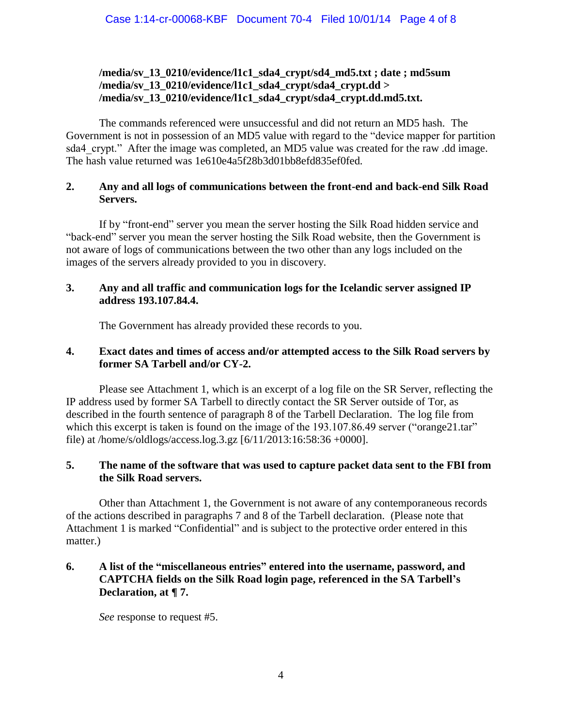## **/media/sv\_13\_0210/evidence/l1c1\_sda4\_crypt/sd4\_md5.txt ; date ; md5sum /media/sv\_13\_0210/evidence/l1c1\_sda4\_crypt/sda4\_crypt.dd > /media/sv\_13\_0210/evidence/l1c1\_sda4\_crypt/sda4\_crypt.dd.md5.txt.**

The commands referenced were unsuccessful and did not return an MD5 hash. The Government is not in possession of an MD5 value with regard to the "device mapper for partition sda4 crypt." After the image was completed, an MD5 value was created for the raw .dd image. The hash value returned was 1e610e4a5f28b3d01bb8efd835ef0fed.

## **2. Any and all logs of communications between the front-end and back-end Silk Road Servers.**

If by "front-end" server you mean the server hosting the Silk Road hidden service and "back-end" server you mean the server hosting the Silk Road website, then the Government is not aware of logs of communications between the two other than any logs included on the images of the servers already provided to you in discovery.

### **3. Any and all traffic and communication logs for the Icelandic server assigned IP address 193.107.84.4.**

The Government has already provided these records to you.

## **4. Exact dates and times of access and/or attempted access to the Silk Road servers by former SA Tarbell and/or CY-2.**

Please see Attachment 1, which is an excerpt of a log file on the SR Server, reflecting the IP address used by former SA Tarbell to directly contact the SR Server outside of Tor, as described in the fourth sentence of paragraph 8 of the Tarbell Declaration. The log file from which this excerpt is taken is found on the image of the 193.107.86.49 server ("orange21.tar" file) at /home/s/oldlogs/access.log.3.gz [6/11/2013:16:58:36 +0000].

# **5. The name of the software that was used to capture packet data sent to the FBI from the Silk Road servers.**

Other than Attachment 1, the Government is not aware of any contemporaneous records of the actions described in paragraphs 7 and 8 of the Tarbell declaration. (Please note that Attachment 1 is marked "Confidential" and is subject to the protective order entered in this matter.)

# **6. A list of the "miscellaneous entries" entered into the username, password, and CAPTCHA fields on the Silk Road login page, referenced in the SA Tarbell's Declaration, at ¶ 7.**

*See* response to request #5.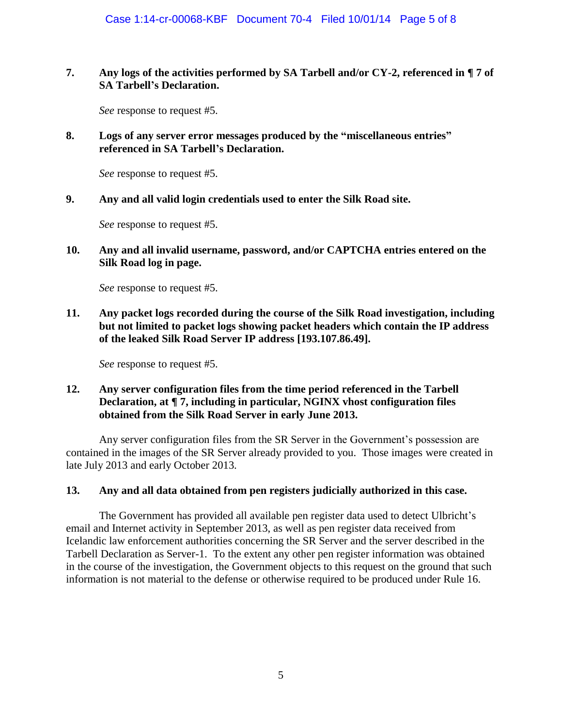### **7. Any logs of the activities performed by SA Tarbell and/or CY-2, referenced in ¶ 7 of SA Tarbell's Declaration.**

*See* response to request #5.

### **8. Logs of any server error messages produced by the "miscellaneous entries" referenced in SA Tarbell's Declaration.**

*See* response to request #5.

#### **9. Any and all valid login credentials used to enter the Silk Road site.**

*See* response to request #5.

### **10. Any and all invalid username, password, and/or CAPTCHA entries entered on the Silk Road log in page.**

*See* response to request #5.

**11. Any packet logs recorded during the course of the Silk Road investigation, including but not limited to packet logs showing packet headers which contain the IP address of the leaked Silk Road Server IP address [193.107.86.49].**

*See* response to request #5.

### **12. Any server configuration files from the time period referenced in the Tarbell Declaration, at ¶ 7, including in particular, NGINX vhost configuration files obtained from the Silk Road Server in early June 2013.**

Any server configuration files from the SR Server in the Government's possession are contained in the images of the SR Server already provided to you. Those images were created in late July 2013 and early October 2013.

#### **13. Any and all data obtained from pen registers judicially authorized in this case.**

The Government has provided all available pen register data used to detect Ulbricht's email and Internet activity in September 2013, as well as pen register data received from Icelandic law enforcement authorities concerning the SR Server and the server described in the Tarbell Declaration as Server-1. To the extent any other pen register information was obtained in the course of the investigation, the Government objects to this request on the ground that such information is not material to the defense or otherwise required to be produced under Rule 16.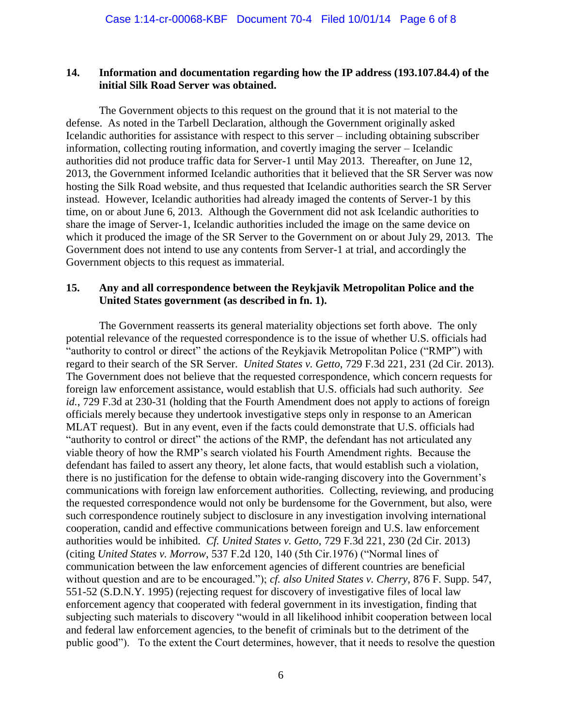#### **14. Information and documentation regarding how the IP address (193.107.84.4) of the initial Silk Road Server was obtained.**

The Government objects to this request on the ground that it is not material to the defense. As noted in the Tarbell Declaration, although the Government originally asked Icelandic authorities for assistance with respect to this server – including obtaining subscriber information, collecting routing information, and covertly imaging the server – Icelandic authorities did not produce traffic data for Server-1 until May 2013. Thereafter, on June 12, 2013, the Government informed Icelandic authorities that it believed that the SR Server was now hosting the Silk Road website, and thus requested that Icelandic authorities search the SR Server instead. However, Icelandic authorities had already imaged the contents of Server-1 by this time, on or about June 6, 2013. Although the Government did not ask Icelandic authorities to share the image of Server-1, Icelandic authorities included the image on the same device on which it produced the image of the SR Server to the Government on or about July 29, 2013. The Government does not intend to use any contents from Server-1 at trial, and accordingly the Government objects to this request as immaterial.

#### **15. Any and all correspondence between the Reykjavik Metropolitan Police and the United States government (as described in fn. 1).**

The Government reasserts its general materiality objections set forth above. The only potential relevance of the requested correspondence is to the issue of whether U.S. officials had "authority to control or direct" the actions of the Reykjavik Metropolitan Police ("RMP") with regard to their search of the SR Server. *United States v. Getto*, 729 F.3d 221, 231 (2d Cir. 2013). The Government does not believe that the requested correspondence, which concern requests for foreign law enforcement assistance, would establish that U.S. officials had such authority. *See id.*, 729 F.3d at 230-31 (holding that the Fourth Amendment does not apply to actions of foreign officials merely because they undertook investigative steps only in response to an American MLAT request). But in any event, even if the facts could demonstrate that U.S. officials had "authority to control or direct" the actions of the RMP, the defendant has not articulated any viable theory of how the RMP's search violated his Fourth Amendment rights. Because the defendant has failed to assert any theory, let alone facts, that would establish such a violation, there is no justification for the defense to obtain wide-ranging discovery into the Government's communications with foreign law enforcement authorities. Collecting, reviewing, and producing the requested correspondence would not only be burdensome for the Government, but also, were such correspondence routinely subject to disclosure in any investigation involving international cooperation, candid and effective communications between foreign and U.S. law enforcement authorities would be inhibited. *Cf. United States v. Getto*, 729 F.3d 221, 230 (2d Cir. 2013) (citing *United States v. Morrow*, 537 F.2d 120, 140 (5th Cir.1976) ("Normal lines of communication between the law enforcement agencies of different countries are beneficial without question and are to be encouraged."); *cf. also United States v. Cherry*, 876 F. Supp. 547, 551-52 (S.D.N.Y. 1995) (rejecting request for discovery of investigative files of local law enforcement agency that cooperated with federal government in its investigation, finding that subjecting such materials to discovery "would in all likelihood inhibit cooperation between local and federal law enforcement agencies, to the benefit of criminals but to the detriment of the public good"). To the extent the Court determines, however, that it needs to resolve the question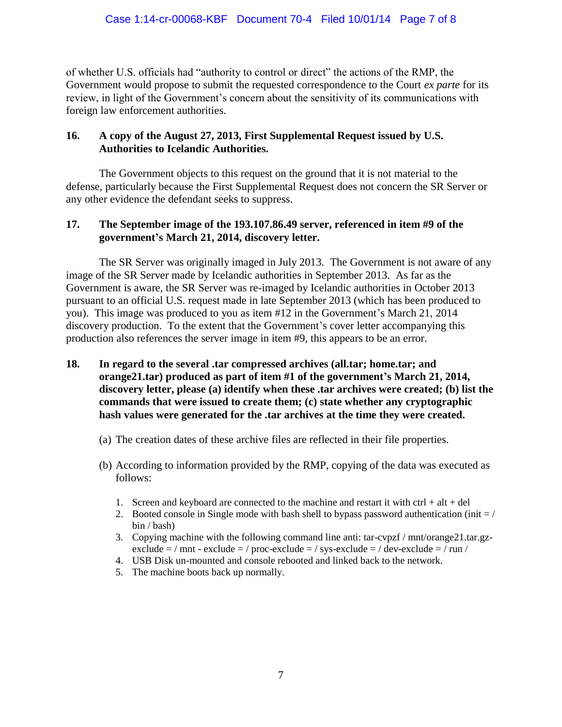of whether U.S. officials had "authority to control or direct" the actions of the RMP, the Government would propose to submit the requested correspondence to the Court *ex parte* for its review, in light of the Government's concern about the sensitivity of its communications with foreign law enforcement authorities.

### **16. A copy of the August 27, 2013, First Supplemental Request issued by U.S. Authorities to Icelandic Authorities.**

The Government objects to this request on the ground that it is not material to the defense, particularly because the First Supplemental Request does not concern the SR Server or any other evidence the defendant seeks to suppress.

## **17. The September image of the 193.107.86.49 server, referenced in item #9 of the government's March 21, 2014, discovery letter.**

The SR Server was originally imaged in July 2013. The Government is not aware of any image of the SR Server made by Icelandic authorities in September 2013. As far as the Government is aware, the SR Server was re-imaged by Icelandic authorities in October 2013 pursuant to an official U.S. request made in late September 2013 (which has been produced to you). This image was produced to you as item #12 in the Government's March 21, 2014 discovery production. To the extent that the Government's cover letter accompanying this production also references the server image in item #9, this appears to be an error.

- **18. In regard to the several .tar compressed archives (all.tar; home.tar; and orange21.tar) produced as part of item #1 of the government's March 21, 2014, discovery letter, please (a) identify when these .tar archives were created; (b) list the commands that were issued to create them; (c) state whether any cryptographic hash values were generated for the .tar archives at the time they were created.**
	- (a) The creation dates of these archive files are reflected in their file properties.
	- (b) According to information provided by the RMP, copying of the data was executed as follows:
		- 1. Screen and keyboard are connected to the machine and restart it with  $\text{ctrl} + \text{alt} + \text{del}$
		- 2. Booted console in Single mode with bash shell to bypass password authentication (init  $=$  / bin / bash)
		- 3. Copying machine with the following command line anti: tar-cvpzf / mnt/orange21.tar.gzexclude  $=$  / mnt - exclude  $=$  / proc-exclude  $=$  / sys-exclude  $=$  / dev-exclude  $=$  / run /
		- 4. USB Disk un-mounted and console rebooted and linked back to the network.
		- 5. The machine boots back up normally.